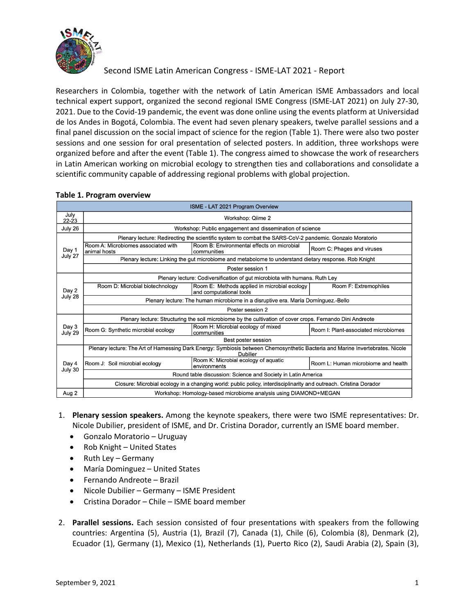

Researchers in Colombia, together with the network of Latin American ISME Ambassadors and local technical expert support, organized the second regional ISME Congress (ISME-LAT 2021) on July 27-30, 2021. Due to the Covid-19 pandemic, the event was done online using the events platform at Universidad de los Andes in Bogotá, Colombia. The event had seven plenary speakers, twelve parallel sessions and a final panel discussion on the social impact of science for the region (Table 1). There were also two poster sessions and one session for oral presentation of selected posters. In addition, three workshops were organized before and after the event (Table 1). The congress aimed to showcase the work of researchers in Latin American working on microbial ecology to strengthen ties and collaborations and consolidate a scientific community capable of addressing regional problems with global projection.

| ISME - LAT 2021 Program Overview |                                                                                                                                            |                                                                         |                                      |  |
|----------------------------------|--------------------------------------------------------------------------------------------------------------------------------------------|-------------------------------------------------------------------------|--------------------------------------|--|
| July<br>$22 - 23$                | Workshop: Qiime 2                                                                                                                          |                                                                         |                                      |  |
| July 26                          | Workshop: Public engagement and dissemination of science                                                                                   |                                                                         |                                      |  |
| Day 1<br>July 27                 | Plenary lecture: Redirecting the scientific system to combat the SARS-CoV-2 pandemic. Gonzalo Moratorio                                    |                                                                         |                                      |  |
|                                  | Room A: Microbiomes associated with<br>animal hosts                                                                                        | Room B: Environmental effects on microbial<br>communities               | Room C: Phages and viruses           |  |
|                                  | Plenary lecture: Linking the gut microbiome and metabolome to understand dietary response. Rob Knight                                      |                                                                         |                                      |  |
|                                  | Poster session 1                                                                                                                           |                                                                         |                                      |  |
| Day 2<br>July 28                 | Plenary lecture: Codiversification of gut microbiota with humans. Ruth Ley                                                                 |                                                                         |                                      |  |
|                                  | Room D: Microbial biotechnology                                                                                                            | Room E: Methods applied in microbial ecology<br>and computational tools | Room F: Extremophiles                |  |
|                                  | Plenary lecture: The human microbiome in a disruptive era. María Domínguez.-Bello                                                          |                                                                         |                                      |  |
|                                  | Poster session 2                                                                                                                           |                                                                         |                                      |  |
| Day 3<br>July 29                 | Plenary lecture: Structuring the soil microbiome by the cultivation of cover crops. Fernando Dini Andreote                                 |                                                                         |                                      |  |
|                                  | Room G: Synthetic microbial ecology                                                                                                        | Room H: Microbial ecology of mixed<br>communities                       | Room I: Plant-associated microbiomes |  |
|                                  | Best poster session                                                                                                                        |                                                                         |                                      |  |
| Day 4<br>July 30                 | Plenary lecture: The Art of Harnessing Dark Energy: Symbiosis between Chemosynthetic Bacteria and Marine Invertebrates. Nicole<br>Dubilier |                                                                         |                                      |  |
|                                  | Room J: Soil microbial ecology                                                                                                             | Room K: Microbial ecology of aquatic<br>environments                    | Room L: Human microbiome and health  |  |
|                                  | Round table discussion: Science and Society in Latin America                                                                               |                                                                         |                                      |  |
|                                  | Closure: Microbial ecology in a changing world: public policy, interdisciplinarity and outreach. Cristina Dorador                          |                                                                         |                                      |  |
| Aug 2                            | Workshop: Homology-based microbiome analysis using DIAMOND+MEGAN                                                                           |                                                                         |                                      |  |

### **Table 1. Program overview**

- 1. **Plenary session speakers.** Among the keynote speakers, there were two ISME representatives: Dr. Nicole Dubilier, president of ISME, and Dr. Cristina Dorador, currently an ISME board member.
	- Gonzalo Moratorio Uruguay
	- Rob Knight United States
	- Ruth Ley Germany
	- María Dominguez United States
	- Fernando Andreote Brazil
	- Nicole Dubilier Germany ISME President
	- Cristina Dorador Chile ISME board member
- 2. **Parallel sessions.** Each session consisted of four presentations with speakers from the following countries: Argentina (5), Austria (1), Brazil (7), Canada (1), Chile (6), Colombia (8), Denmark (2), Ecuador (1), Germany (1), Mexico (1), Netherlands (1), Puerto Rico (2), Saudi Arabia (2), Spain (3),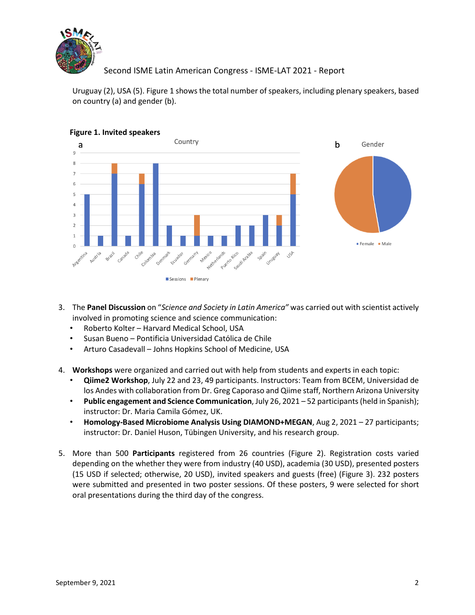

Uruguay (2), USA (5). Figure 1 shows the total number of speakers, including plenary speakers, based on country (a) and gender (b).



### **Figure 1. Invited speakers**

- 3. The **Panel Discussion** on "*Science and Society in Latin America"* was carried out with scientist actively involved in promoting science and science communication:
	- Roberto Kolter Harvard Medical School, USA
	- Susan Bueno Pontificia Universidad Católica de Chile
	- Arturo Casadevall Johns Hopkins School of Medicine, USA
- 4. **Workshops** were organized and carried out with help from students and experts in each topic:
	- **Qiime2 Workshop**, July 22 and 23, 49 participants. Instructors: Team from BCEM, Universidad de los Andes with collaboration from Dr. Greg Caporaso and Qiime staff, Northern Arizona University
	- **Public engagement and Science Communication**, July 26, 2021 52 participants (held in Spanish); instructor: Dr. Maria Camila Gómez, UK.
	- **Homology-Based Microbiome Analysis Using DIAMOND+MEGAN**, Aug 2, 2021 27 participants; instructor: Dr. Daniel Huson, Tübingen University, and his research group.
- 5. More than 500 **Participants** registered from 26 countries (Figure 2). Registration costs varied depending on the whether they were from industry (40 USD), academia (30 USD), presented posters (15 USD if selected; otherwise, 20 USD), invited speakers and guests (free) (Figure 3). 232 posters were submitted and presented in two poster sessions. Of these posters, 9 were selected for short oral presentations during the third day of the congress.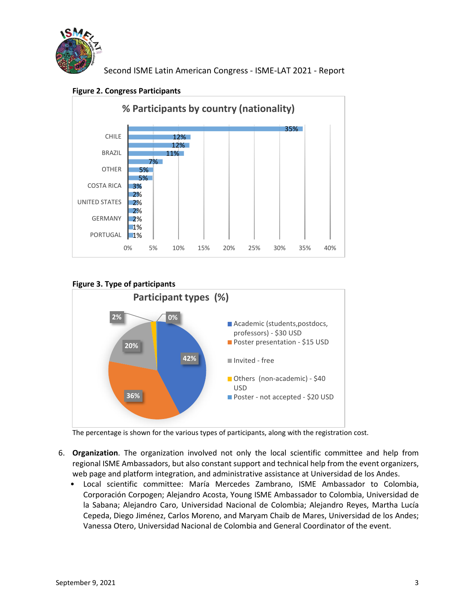





# **Figure 3. Type of participants**



The percentage is shown for the various types of participants, along with the registration cost.

- 6. **Organization**. The organization involved not only the local scientific committee and help from regional ISME Ambassadors, but also constant support and technical help from the event organizers, web page and platform integration, and administrative assistance at Universidad de los Andes.
	- Local scientific committee: María Mercedes Zambrano, ISME Ambassador to Colombia, Corporación Corpogen; Alejandro Acosta, Young ISME Ambassador to Colombia, Universidad de la Sabana; Alejandro Caro, Universidad Nacional de Colombia; Alejandro Reyes, Martha Lucía Cepeda, Diego Jiménez, Carlos Moreno, and Maryam Chaib de Mares, Universidad de los Andes; Vanessa Otero, Universidad Nacional de Colombia and General Coordinator of the event.